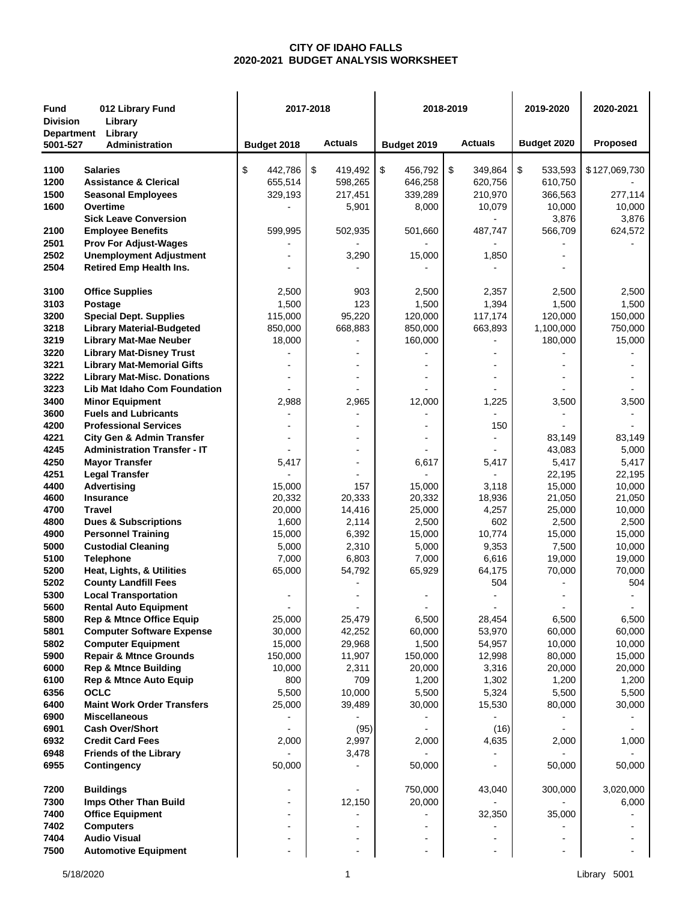## **CITY OF IDAHO FALLS 2020-2021 BUDGET ANALYSIS WORKSHEET**

| <b>Fund</b><br>012 Library Fund<br><b>Division</b><br>Library<br>Library<br>Department |                                                                         |                  | 2017-2018        |                  | 2018-2019        | 2019-2020        | 2020-2021        |  |
|----------------------------------------------------------------------------------------|-------------------------------------------------------------------------|------------------|------------------|------------------|------------------|------------------|------------------|--|
| 5001-527                                                                               | Administration                                                          | Budget 2018      | <b>Actuals</b>   | Budget 2019      | <b>Actuals</b>   | Budget 2020      | Proposed         |  |
| 1100                                                                                   | <b>Salaries</b>                                                         | \$<br>442,786    | \$<br>419,492    | \$<br>456,792    | $\$\$<br>349,864 | \$<br>533,593    | \$127,069,730    |  |
| 1200                                                                                   | <b>Assistance &amp; Clerical</b>                                        | 655,514          | 598,265          | 646,258          | 620,756          | 610,750          |                  |  |
| 1500                                                                                   | <b>Seasonal Employees</b>                                               | 329,193          | 217,451          | 339,289          | 210,970          | 366,563          | 277,114          |  |
| 1600                                                                                   | Overtime                                                                |                  | 5,901            | 8,000            | 10,079           | 10,000           | 10,000           |  |
|                                                                                        | <b>Sick Leave Conversion</b>                                            |                  |                  |                  |                  | 3,876            | 3,876            |  |
| 2100                                                                                   | <b>Employee Benefits</b>                                                | 599,995          | 502,935          | 501,660          | 487,747          | 566,709          | 624,572          |  |
| 2501<br>2502                                                                           | <b>Prov For Adjust-Wages</b><br><b>Unemployment Adjustment</b>          |                  | 3,290            | 15,000           | 1,850            |                  |                  |  |
| 2504                                                                                   | <b>Retired Emp Health Ins.</b>                                          |                  |                  |                  |                  |                  |                  |  |
| 3100                                                                                   | <b>Office Supplies</b>                                                  | 2,500            | 903              | 2,500            | 2,357            | 2,500            | 2,500            |  |
| 3103                                                                                   | Postage                                                                 | 1,500            | 123              | 1,500            | 1,394            | 1,500            | 1,500            |  |
| 3200                                                                                   | <b>Special Dept. Supplies</b>                                           | 115,000          | 95,220           | 120,000          | 117,174          | 120,000          | 150,000          |  |
| 3218                                                                                   | <b>Library Material-Budgeted</b>                                        | 850,000          | 668,883          | 850,000          | 663,893          | 1,100,000        | 750,000          |  |
| 3219                                                                                   | <b>Library Mat-Mae Neuber</b>                                           | 18,000           |                  | 160,000          |                  | 180,000          | 15,000           |  |
| 3220                                                                                   | <b>Library Mat-Disney Trust</b>                                         |                  |                  |                  |                  |                  |                  |  |
| 3221<br>3222                                                                           | <b>Library Mat-Memorial Gifts</b><br><b>Library Mat-Misc. Donations</b> |                  |                  |                  |                  |                  |                  |  |
| 3223                                                                                   | Lib Mat Idaho Com Foundation                                            |                  |                  |                  |                  |                  |                  |  |
| 3400                                                                                   | <b>Minor Equipment</b>                                                  | 2,988            | 2,965            | 12,000           | 1,225            | 3,500            | 3,500            |  |
| 3600                                                                                   | <b>Fuels and Lubricants</b>                                             |                  |                  |                  |                  |                  |                  |  |
| 4200                                                                                   | <b>Professional Services</b>                                            |                  |                  |                  | 150              |                  |                  |  |
| 4221                                                                                   | <b>City Gen &amp; Admin Transfer</b>                                    |                  |                  |                  |                  | 83,149           | 83,149           |  |
| 4245                                                                                   | <b>Administration Transfer - IT</b>                                     |                  |                  |                  |                  | 43,083           | 5,000            |  |
| 4250                                                                                   | <b>Mayor Transfer</b>                                                   | 5,417            |                  | 6,617            | 5,417            | 5,417            | 5,417            |  |
| 4251                                                                                   | <b>Legal Transfer</b>                                                   |                  |                  |                  |                  | 22,195           | 22,195           |  |
| 4400<br>4600                                                                           | <b>Advertising</b><br><b>Insurance</b>                                  | 15,000<br>20,332 | 157<br>20,333    | 15,000<br>20,332 | 3,118<br>18,936  | 15,000<br>21,050 | 10,000<br>21,050 |  |
| 4700                                                                                   | <b>Travel</b>                                                           | 20,000           | 14,416           | 25,000           | 4,257            | 25,000           | 10,000           |  |
| 4800                                                                                   | <b>Dues &amp; Subscriptions</b>                                         | 1,600            | 2,114            | 2,500            | 602              | 2,500            | 2,500            |  |
| 4900                                                                                   | <b>Personnel Training</b>                                               | 15,000           | 6,392            | 15,000           | 10,774           | 15,000           | 15,000           |  |
| 5000                                                                                   | <b>Custodial Cleaning</b>                                               | 5,000            | 2,310            | 5,000            | 9,353            | 7,500            | 10,000           |  |
| 5100                                                                                   | <b>Telephone</b>                                                        | 7,000            | 6,803            | 7,000            | 6,616            | 19,000           | 19,000           |  |
| 5200                                                                                   | Heat, Lights, & Utilities                                               | 65,000           | 54,792           | 65,929           | 64,175           | 70,000           | 70,000           |  |
| 5202<br>5300                                                                           | <b>County Landfill Fees</b><br><b>Local Transportation</b>              |                  |                  |                  | 504              |                  | 504              |  |
| 5600                                                                                   | <b>Rental Auto Equipment</b>                                            |                  |                  |                  |                  |                  |                  |  |
| 5800                                                                                   | <b>Rep &amp; Mtnce Office Equip</b>                                     | 25,000           | 25,479           | 6,500            | 28,454           | 6,500            | 6,500            |  |
| 5801                                                                                   | <b>Computer Software Expense</b>                                        | 30,000           | 42,252           | 60,000           | 53,970           | 60,000           | 60,000           |  |
| 5802                                                                                   | <b>Computer Equipment</b>                                               | 15,000           | 29,968           | 1,500            | 54,957           | 10,000           | 10,000           |  |
| 5900                                                                                   | <b>Repair &amp; Mtnce Grounds</b>                                       | 150,000          | 11,907           | 150,000          | 12,998           | 80,000           | 15,000           |  |
| 6000                                                                                   | <b>Rep &amp; Mtnce Building</b>                                         | 10,000           | 2,311            | 20,000           | 3,316            | 20,000           | 20,000           |  |
| 6100                                                                                   | <b>Rep &amp; Mtnce Auto Equip</b>                                       | 800              | 709              | 1,200            | 1,302            | 1,200            | 1,200            |  |
| 6356<br>6400                                                                           | <b>OCLC</b><br><b>Maint Work Order Transfers</b>                        | 5,500<br>25,000  | 10,000<br>39,489 | 5,500<br>30,000  | 5,324            | 5,500<br>80,000  | 5,500<br>30,000  |  |
| 6900                                                                                   | <b>Miscellaneous</b>                                                    |                  |                  |                  | 15,530           |                  |                  |  |
| 6901                                                                                   | <b>Cash Over/Short</b>                                                  |                  | (95)             |                  | (16)             |                  |                  |  |
| 6932                                                                                   | <b>Credit Card Fees</b>                                                 | 2,000            | 2,997            | 2,000            | 4,635            | 2,000            | 1,000            |  |
| 6948                                                                                   | <b>Friends of the Library</b>                                           |                  | 3,478            |                  |                  |                  |                  |  |
| 6955                                                                                   | Contingency                                                             | 50,000           |                  | 50,000           |                  | 50,000           | 50,000           |  |
| 7200                                                                                   | <b>Buildings</b>                                                        | $\blacksquare$   |                  | 750,000          | 43,040           | 300,000          | 3,020,000        |  |
| 7300                                                                                   | Imps Other Than Build                                                   |                  | 12,150           | 20,000           |                  |                  | 6,000            |  |
| 7400                                                                                   | <b>Office Equipment</b>                                                 | $\blacksquare$   |                  |                  | 32,350           | 35,000           |                  |  |
| 7402                                                                                   | <b>Computers</b>                                                        | $\blacksquare$   |                  |                  |                  |                  |                  |  |
| 7404                                                                                   | <b>Audio Visual</b>                                                     |                  |                  |                  |                  |                  |                  |  |
| 7500                                                                                   | <b>Automotive Equipment</b>                                             | $\blacksquare$   |                  |                  |                  | $\blacksquare$   |                  |  |